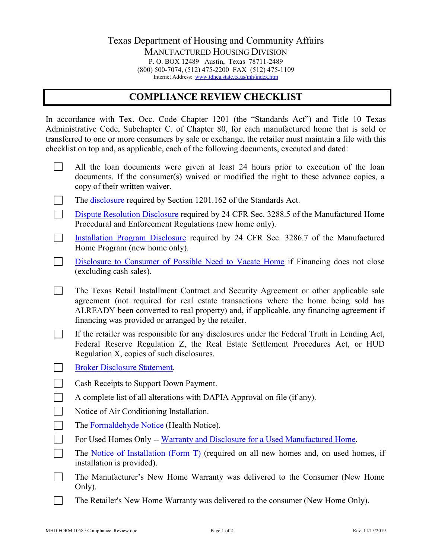## Texas Department of Housing and Community Affairs MANUFACTURED HOUSING DIVISION P. O. BOX 12489 Austin, Texas 78711-2489 (800) 500-7074, (512) 475-2200 FAX (512) 475-1109 Internet Address: [www.tdhca.state.tx.us/mh/index.htm](http://www.tdhca.state.tx.us/mh/index.htm)

## **COMPLIANCE REVIEW CHECKLIST**

In accordance with Tex. Occ. Code Chapter 1201 (the "Standards Act") and Title 10 Texas Administrative Code, Subchapter C. of Chapter 80, for each manufactured home that is sold or transferred to one or more consumers by sale or exchange, the retailer must maintain a file with this checklist on top and, as applicable, each of the following documents, executed and dated:

- $\Box$ All the loan documents were given at least 24 hours prior to execution of the loan documents. If the consumer(s) waived or modified the right to these advance copies, a copy of their written waiver.
- $\mathbf{L}$ The **disclosure** required by Section 1201.162 of the Standards Act.
- $\mathcal{L}_{\mathcal{A}}$ [Dispute Resolution Disclosure](http://www.tdhca.state.tx.us/mh/docs/1078-HUD-DispResDiscl.pdf) required by 24 CFR Sec. 3288.5 of the Manufactured Home Procedural and Enforcement Regulations (new home only).
- $\mathbb{R}^n$ [Installation Program Disclosure](http://www.tdhca.state.tx.us/mh/docs/1077-HUD-inst-disclosure.pdf) required by 24 CFR Sec. 3286.7 of the Manufactured Home Program (new home only).
- $\mathbf{L}$ [Disclosure to Consumer of Possible Need to Vacate Home](http://www.tdhca.state.tx.us/mh/docs/1074-DisclosureFinanceNotClosed.pdf) if Financing does not close (excluding cash sales).
- $\Box$ The Texas Retail Installment Contract and Security Agreement or other applicable sale agreement (not required for real estate transactions where the home being sold has ALREADY been converted to real property) and, if applicable, any financing agreement if financing was provided or arranged by the retailer.
- $\Box$ If the retailer was responsible for any disclosures under the Federal Truth in Lending Act, Federal Reserve Regulation Z, the Real Estate Settlement Procedures Act, or HUD Regulation X, copies of such disclosures.
- [Broker Disclosure Statement.](http://www.tdhca.state.tx.us/mh/docs/1055-brokdisc.pdf)  $\mathbf{L}$
- $\overline{\phantom{a}}$ Cash Receipts to Support Down Payment.
- $\mathcal{L}^{\text{max}}$ A complete list of all alterations with DAPIA Approval on file (if any).
- $\Box$ Notice of Air Conditioning Installation.
- $\Box$ The [Formaldehyde Notice](http://www.tdhca.state.tx.us/mh/docs/1061-healthnotice.pdf) (Health Notice).
- $\Box$ For Used Homes Only -- [Warranty and Disclosure for a Used Manufactured Home.](http://www.tdhca.state.tx.us/mh/docs/1054-habitability-warranty.pdf)
- $\Box$ The [Notice of Installation \(Form T\)](http://www.tdhca.state.tx.us/mh/docs/1026-formt.pdf) (required on all new homes and, on used homes, if installation is provided).
- $\Box$ The Manufacturer's New Home Warranty was delivered to the Consumer (New Home Only).
- $\Box$ The Retailer's New Home Warranty was delivered to the consumer (New Home Only).